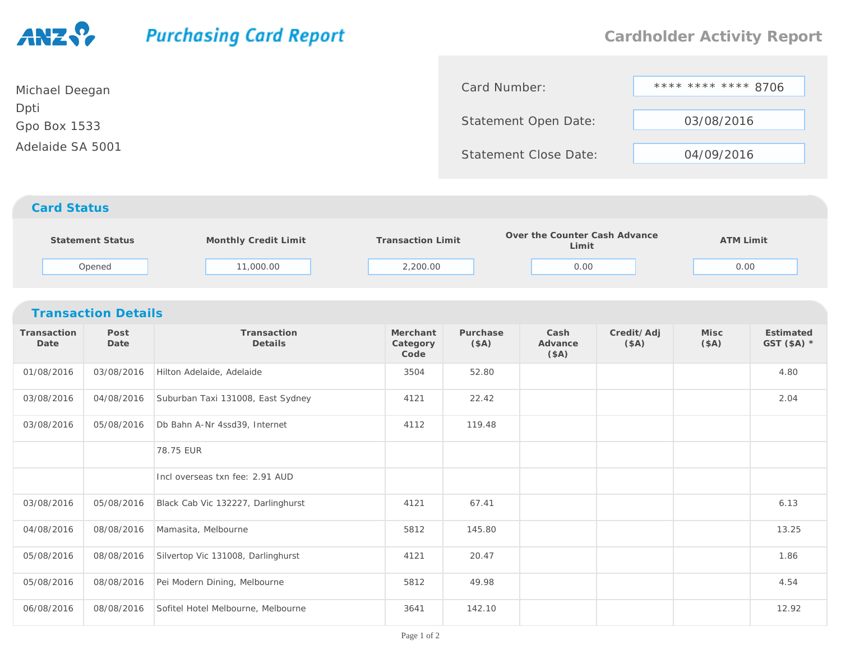## **Purchasing Card Report Cardholder Activity Report**\*\*\*\* \*\*\*\* \*\*\*\* 8706 Card Number:Michael DeeganDptiStatement Open Date: 03/08/2016Gpo Box 1533Adelaide SA 5001Statement Close Date: 04/09/2016*Card Status* **Monthly Credit Limit Transaction Limit Over the Counter Cash Advance LimitStatement Status ATM Limit** Opened 11,000.00 2,200.00 0.00 0.00 *Transaction Details***Transaction PostTransactionMerchantPurchaseCashCredit/AdjMiscEstimatedDate DateDetails Category(\$A)(\$A) Advance (\$A) GST (\$A) \*Code(\$A)**01/08/2016 03/08/2016 Hilton Adelaide, Adelaide <sup>3504</sup> 52.80 4.80 03/08/2016 04/08/2016 Suburban Taxi 131008, East Sydney <sup>4121</sup> 22.42 2.04 03/08/201605/08/2016 Db Bahn A-Nr 4ssd39, Internet 4112 119.48 78.75 EUR

|            |            | 78.75 EUR                          |      |        |  |       |
|------------|------------|------------------------------------|------|--------|--|-------|
|            |            | Incl overseas txn fee: 2.91 AUD    |      |        |  |       |
| 03/08/2016 | 05/08/2016 | Black Cab Vic 132227, Darlinghurst | 4121 | 67.41  |  | 6.13  |
| 04/08/2016 | 08/08/2016 | Mamasita, Melbourne                | 5812 | 145.80 |  | 13.25 |
| 05/08/2016 | 08/08/2016 | Silvertop Vic 131008, Darlinghurst | 4121 | 20.47  |  | 1.86  |
| 05/08/2016 | 08/08/2016 | Pei Modern Dining, Melbourne       | 5812 | 49.98  |  | 4.54  |
| 06/08/2016 | 08/08/2016 | Sofitel Hotel Melbourne, Melbourne | 3641 | 142.10 |  | 12.92 |